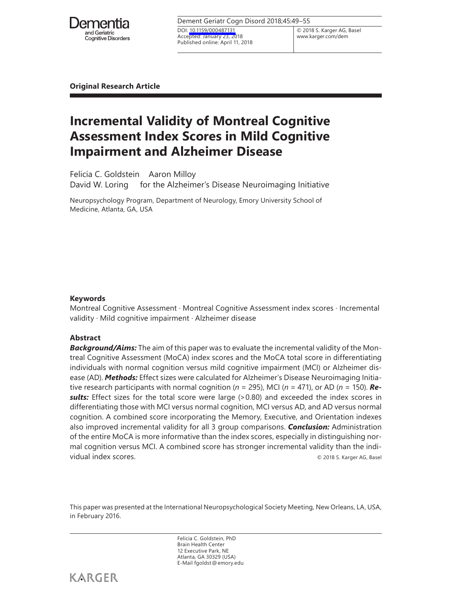

| Dement Geriatr Cogn Disord 2018;45:49-55                                                 |                          |  |
|------------------------------------------------------------------------------------------|--------------------------|--|
| DOI: 10.1159/000487131<br>Accepted: January 23, 2018<br>Published online: April 11, 2018 | © 2018 S. K<br>www.karge |  |

© 2018 S. Karger AG, Basel www.karger.com/dem

**Original Research Article**

# **Incremental Validity of Montreal Cognitive Assessment Index Scores in Mild Cognitive Impairment and Alzheimer Disease**

Felicia C. Goldstein Aaron Milloy

David W. Loring for the Alzheimer's Disease Neuroimaging Initiative

Neuropsychology Program, Department of Neurology, Emory University School of Medicine, Atlanta, GA, USA

# **Keywords**

Montreal Cognitive Assessment · Montreal Cognitive Assessment index scores · Incremental validity · Mild cognitive impairment · Alzheimer disease

# **Abstract**

*Background/Aims:* The aim of this paper was to evaluate the incremental validity of the Montreal Cognitive Assessment (MoCA) index scores and the MoCA total score in differentiating individuals with normal cognition versus mild cognitive impairment (MCI) or Alzheimer disease (AD). *Methods:* Effect sizes were calculated for Alzheimer's Disease Neuroimaging Initiative research participants with normal cognition (*n* = 295), MCI (*n* = 471), or AD (*n* = 150). *Re***sults:** Effect sizes for the total score were large (>0.80) and exceeded the index scores in differentiating those with MCI versus normal cognition, MCI versus AD, and AD versus normal cognition. A combined score incorporating the Memory, Executive, and Orientation indexes also improved incremental validity for all 3 group comparisons. *Conclusion:* Administration of the entire MoCA is more informative than the index scores, especially in distinguishing normal cognition versus MCI. A combined score has stronger incremental validity than the individual index scores. © 2018 S. Karger AG, Basel

This paper was presented at the International Neuropsychological Society Meeting, New Orleans, LA, USA, in February 2016.

> Felicia C. Goldstein, PhD Brain Health Center 12 Executive Park, NE Atlanta, GA 30329 (USA) E-Mail fgoldst@emory.edu

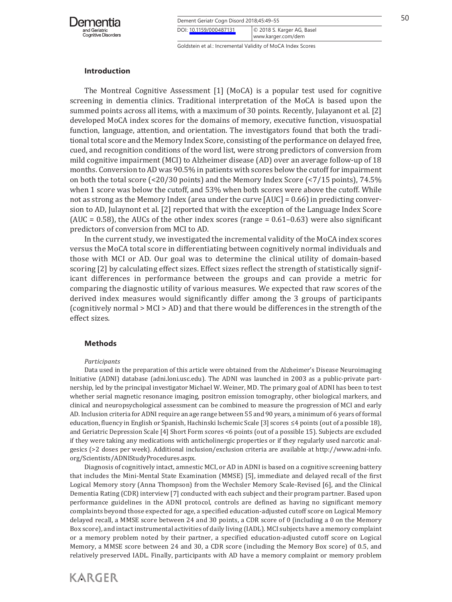

| Dement Geriatr Cogn Disord 2018;45:49-55 |                                                  | 50 |
|------------------------------------------|--------------------------------------------------|----|
| DOI: 10.1159/000487131                   | © 2018 S. Karger AG, Basel<br>www.karger.com/dem |    |

# **Introduction**

The Montreal Cognitive Assessment [1] (MoCA) is a popular test used for cognitive screening in dementia clinics. Traditional interpretation of the MoCA is based upon the summed points across all items, with a maximum of 30 points. Recently, Julayanont et al. [2] developed MoCA index scores for the domains of memory, executive function, visuospatial function, language, attention, and orientation. The investigators found that both the traditional total score and the Memory Index Score, consisting of the performance on delayed free, cued, and recognition conditions of the word list, were strong predictors of conversion from mild cognitive impairment (MCI) to Alzheimer disease (AD) over an average follow-up of 18 months. Conversion to AD was 90.5% in patients with scores below the cutoff for impairment on both the total score (<20/30 points) and the Memory Index Score (<7/15 points), 74.5% when 1 score was below the cutoff, and 53% when both scores were above the cutoff. While not as strong as the Memory Index (area under the curve [AUC] = 0.66) in predicting conversion to AD, Julaynont et al. [2] reported that with the exception of the Language Index Score  $(AUC = 0.58)$ , the AUCs of the other index scores (range = 0.61–0.63) were also significant predictors of conversion from MCI to AD.

In the current study, we investigated the incremental validity of the MoCA index scores versus the MoCA total score in differentiating between cognitively normal individuals and those with MCI or AD. Our goal was to determine the clinical utility of domain-based scoring [2] by calculating effect sizes. Effect sizes reflect the strength of statistically significant differences in performance between the groups and can provide a metric for comparing the diagnostic utility of various measures. We expected that raw scores of the derived index measures would significantly differ among the 3 groups of participants (cognitively normal > MCI > AD) and that there would be differences in the strength of the effect sizes.

### **Methods**

#### *Participants*

Data used in the preparation of this article were obtained from the Alzheimer's Disease Neuroimaging Initiative (ADNI) database (adni.loni.usc.edu). The ADNI was launched in 2003 as a public-private partnership, led by the principal investigator Michael W. Weiner, MD. The primary goal of ADNI has been to test whether serial magnetic resonance imaging, positron emission tomography, other biological markers, and clinical and neuropsychological assessment can be combined to measure the progression of MCI and early AD. Inclusion criteria for ADNI require an age range between 55 and 90 years, a minimum of 6 years of formal education, fluency in English or Spanish, Hachinski Ischemic Scale [3] scores ≤4 points (out of a possible 18), and Geriatric Depression Scale [4] Short Form scores <6 points (out of a possible 15). Subjects are excluded if they were taking any medications with anticholinergic properties or if they regularly used narcotic analgesics (>2 doses per week). Additional inclusion/exclusion criteria are available at http://www.adni-info. org/Scientists/ADNIStudyProcedures.aspx.

Diagnosis of cognitively intact, amnestic MCI, or AD in ADNI is based on a cognitive screening battery that includes the Mini-Mental State Examination (MMSE) [5], immediate and delayed recall of the first Logical Memory story (Anna Thompson) from the Wechsler Memory Scale-Revised [6], and the Clinical Dementia Rating (CDR) interview [7] conducted with each subject and their program partner. Based upon performance guidelines in the ADNI protocol, controls are defined as having no significant memory complaints beyond those expected for age, a specified education-adjusted cutoff score on Logical Memory delayed recall, a MMSE score between 24 and 30 points, a CDR score of 0 (including a 0 on the Memory Box score), and intact instrumental activities of daily living (IADL). MCI subjects have a memory complaint or a memory problem noted by their partner, a specified education-adjusted cutoff score on Logical Memory, a MMSE score between 24 and 30, a CDR score (including the Memory Box score) of 0.5, and relatively preserved IADL. Finally, participants with AD have a memory complaint or memory problem

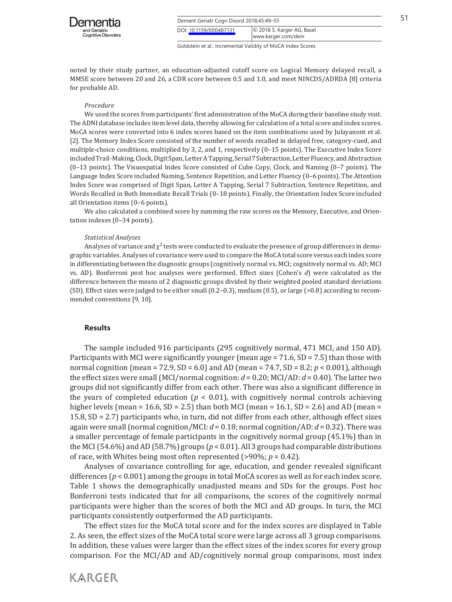

| Dement Geriatr Cogn Disord 2018;45:49-55 |                                                  |  |
|------------------------------------------|--------------------------------------------------|--|
| DOI: 10.1159/000487131                   | © 2018 S. Karger AG, Basel<br>www.karger.com/dem |  |

noted by their study partner, an education-adjusted cutoff score on Logical Memory delayed recall, a MMSE score between 20 and 26, a CDR score between 0.5 and 1.0, and meet NINCDS/ADRDA [8] criteria for probable AD.

#### *Procedure*

We used the scores from participants' first administration of the MoCA during their baseline study visit. The ADNI database includes item level data, thereby allowing for calculation of a total score and index scores. MoCA scores were converted into 6 index scores based on the item combinations used by Julayanont et al. [2]. The Memory Index Score consisted of the number of words recalled in delayed free, category-cued, and multiple-choice conditions, multiplied by 3, 2, and 1, respectively (0–15 points). The Executive Index Score included Trail-Making, Clock, Digit Span, Letter A Tapping, Serial 7 Subtraction, Letter Fluency, and Abstraction (0–13 points). The Visuospatial Index Score consisted of Cube Copy, Clock, and Naming (0–7 points). The Language Index Score included Naming, Sentence Repetition, and Letter Fluency (0–6 points). The Attention Index Score was comprised of Digit Span, Letter A Tapping, Serial 7 Subtraction, Sentence Repetition, and Words Recalled in Both Immediate Recall Trials (0–18 points). Finally, the Orientation Index Score included all Orientation items (0–6 points).

We also calculated a combined score by summing the raw scores on the Memory, Executive, and Orientation indexes (0–34 points).

#### *Statistical Analyses*

Analyses of variance and  $\chi^2$  tests were conducted to evaluate the presence of group differences in demographic variables. Analyses of covariance were used to compare the MoCA total score versus each index score in differentiating between the diagnostic groups (cognitively normal vs. MCI; cognitively normal vs. AD; MCI vs. AD). Bonferroni post hoc analyses were performed. Effect sizes (Cohen's *d*) were calculated as the difference between the means of 2 diagnostic groups divided by their weighted pooled standard deviations (SD). Effect sizes were judged to be either small (0.2–0.3), medium (0.5), or large (>0.8) according to recommended conventions [9, 10].

#### **Results**

**KARGER** 

The sample included 916 participants (295 cognitively normal, 471 MCI, and 150 AD). Participants with MCI were significantly younger (mean age  $= 71.6$ , SD  $= 7.5$ ) than those with normal cognition (mean = 72.9, SD = 6.0) and AD (mean = 74.7, SD = 8.2; *p* < 0.001), although the effect sizes were small (MCI/normal cognition: *d* = 0.20; MCI/AD: *d* = 0.40). The latter two groups did not significantly differ from each other. There was also a significant difference in the years of completed education ( $p < 0.01$ ), with cognitively normal controls achieving higher levels (mean = 16.6, SD = 2.5) than both MCI (mean = 16.1, SD = 2.6) and AD (mean = 15.8, SD = 2.7) participants who, in turn, did not differ from each other, although effect sizes again were small (normal cognition/MCI: *d* = 0.18; normal cognition/AD: *d* = 0.32). There was a smaller percentage of female participants in the cognitively normal group (45.1%) than in the MCI (54.6%) and AD (58.7%) groups (*p* < 0.01). All 3 groups had comparable distributions of race, with Whites being most often represented (>90%; *p* = 0.42).

Analyses of covariance controlling for age, education, and gender revealed significant differences (*p* < 0.001) among the groups in total MoCA scores as well as for each index score. Table 1 shows the demographically unadjusted means and SDs for the groups. Post hoc Bonferroni tests indicated that for all comparisons, the scores of the cognitively normal participants were higher than the scores of both the MCI and AD groups. In turn, the MCI participants consistently outperformed the AD participants.

The effect sizes for the MoCA total score and for the index scores are displayed in Table 2. As seen, the effect sizes of the MoCA total score were large across all 3 group comparisons. In addition, these values were larger than the effect sizes of the index scores for every group comparison. For the MCI/AD and AD/cognitively normal group comparisons, most index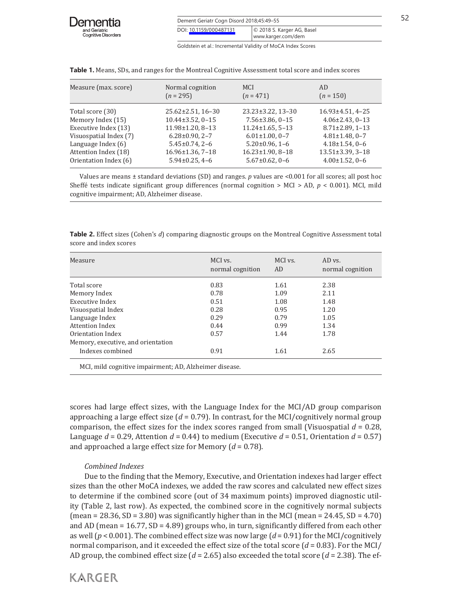| Dementia                                    |
|---------------------------------------------|
| and Geriatric<br><b>Cognitive Disorders</b> |

| Dement Geriatr Cogn Disord 2018;45:49-55 |                                                             | 52 |
|------------------------------------------|-------------------------------------------------------------|----|
| DOI: 10.1159/000487131                   | © 2018 S. Karger AG, Basel<br>www.karger.com/dem            |    |
|                                          | Goldstein et al.: Incremental Validity of MoCA Index Scores |    |

Measure (max. score) Normal cognition MCI AD<br>  $(n = 295)$   $(n = 471)$   $(n = 150)$  $(n = 295)$ Total score (30) 25.62±2.51, 16-30 23.23±3.22, 13-30 16.93±4.51, 4-25<br>Memory Index (15) 10.44±3.52, 0-15 7.56±3.86, 0-15 4.06±2.43, 0-13 Memory Index (15) 10.44±3.52, 0-15 7.56±3.86, 0-15 4.06±2.43, 0-13<br>Executive Index (13) 11.98±1.20, 8-13 11.24±1.65, 5-13 8.71±2.89, 1-13 Executive Index (13) 11.98±1.20, 8-13 11.24±1.65, 5-13 8.71±2.89, 1-13<br>Visuospatial Index (7) 6.28±0.90, 2-7 6.01±1.00, 0-7 4.81±1.48, 0-7 Visuospatial Index (7)  $6.28 \pm 0.90$ ,  $2-7$   $6.01 \pm 1.00$ ,  $0-7$   $4.81 \pm 1.48$ ,  $0-7$ <br>Language Index (6)  $5.45 \pm 0.74$ ,  $2-6$   $5.20 \pm 0.96$ ,  $1-6$   $4.18 \pm 1.54$ ,  $0-6$ Language Index (6) <br>  $5.45\pm0.74$ ,  $2-6$   $5.20\pm0.96$ ,  $1-6$   $4.18\pm1.54$ ,  $0-6$ <br>  $4.18\pm1.54$ ,  $0-6$ <br>  $4.18\pm1.54$ ,  $0-6$ <br>  $16.96\pm1.36$ ,  $7-18$   $16.23\pm1.90$ ,  $8-18$   $13.51\pm3.39$ ,  $3-18$ Attention Index (18) 16.96±1.36, 7-18 16.23±1.90, 8-18 13.51±3.39, 3-18<br>Orientation Index (6) 5.94±0.25, 4-6 5.67±0.62, 0-6 4.00±1.52, 0-6 Orientation Index (6).

**Table 1.** Means, SDs, and ranges for the Montreal Cognitive Assessment total score and index scores

Values are means ± standard deviations (SD) and ranges. *p* values are <0.001 for all scores; all post hoc Sheffé tests indicate significant group differences (normal cognition > MCI > AD, *p* < 0.001). MCI, mild cognitive impairment; AD, Alzheimer disease.

**Table 2.** Effect sizes (Cohen's *d*) comparing diagnostic groups on the Montreal Cognitive Assessment total score and index scores

| Measure                            | MCI vs.<br>normal cognition | MCI vs.<br>AD. | AD vs.<br>normal cognition |
|------------------------------------|-----------------------------|----------------|----------------------------|
| Total score                        | 0.83                        | 1.61           | 2.38                       |
| Memory Index                       | 0.78                        | 1.09           | 2.11                       |
| Executive Index                    | 0.51                        | 1.08           | 1.48                       |
| Visuospatial Index                 | 0.28                        | 0.95           | 1.20                       |
| Language Index                     | 0.29                        | 0.79           | 1.05                       |
| Attention Index                    | 0.44                        | 0.99           | 1.34                       |
| Orientation Index                  | 0.57                        | 1.44           | 1.78                       |
| Memory, executive, and orientation |                             |                |                            |
| Indexes combined                   | 0.91                        | 1.61           | 2.65                       |

scores had large effect sizes, with the Language Index for the MCI/AD group comparison approaching a large effect size  $(d = 0.79)$ . In contrast, for the MCI/cognitively normal group comparison, the effect sizes for the index scores ranged from small (Visuospatial  $d = 0.28$ , Language  $d = 0.29$ , Attention  $d = 0.44$  to medium (Executive  $d = 0.51$ , Orientation  $d = 0.57$ ) and approached a large effect size for Memory (*d* = 0.78).

# *Combined Indexes*

Due to the finding that the Memory, Executive, and Orientation indexes had larger effect sizes than the other MoCA indexes, we added the raw scores and calculated new effect sizes to determine if the combined score (out of 34 maximum points) improved diagnostic utility (Table 2, last row). As expected, the combined score in the cognitively normal subjects (mean = 28.36, SD = 3.80) was significantly higher than in the MCI (mean = 24.45, SD = 4.70) and AD (mean  $= 16.77$ , SD  $= 4.89$ ) groups who, in turn, significantly differed from each other as well (*p* < 0.001). The combined effect size was now large (*d* = 0.91) for the MCI/cognitively normal comparison, and it exceeded the effect size of the total score (*d* = 0.83). For the MCI/ AD group, the combined effect size (*d* = 2.65) also exceeded the total score (*d* = 2.38). The ef-

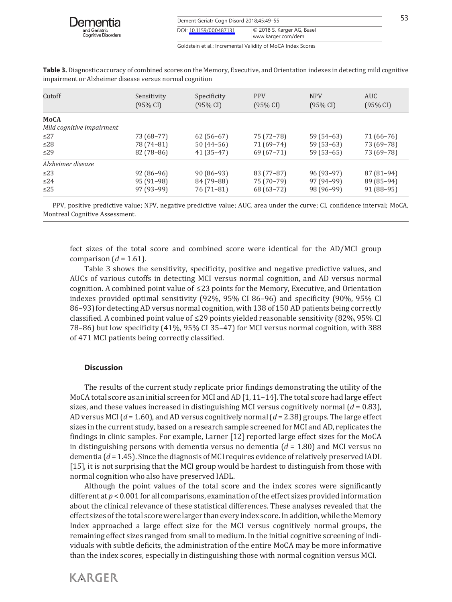| Dement Geriatr Cogn Disord 2018;45:49-55 |                                                  |  |
|------------------------------------------|--------------------------------------------------|--|
| DOI: 10.1159/000487131                   | © 2018 S. Karger AG, Basel<br>www.karger.com/dem |  |

| Cutoff                                   | Sensitivity<br>$(95\% \text{ CI})$ | Specificity<br>$(95\% \text{ CI})$ | <b>PPV</b><br>$(95\% \text{ CI})$ | <b>NPV</b><br>$(95\% \text{ CI})$ | <b>AUC</b><br>$(95\% \text{ CI})$ |  |
|------------------------------------------|------------------------------------|------------------------------------|-----------------------------------|-----------------------------------|-----------------------------------|--|
| <b>MoCA</b><br>Mild cognitive impairment |                                    |                                    |                                   |                                   |                                   |  |
| $\leq$ 27                                | 73 (68–77)                         | $62(56-67)$                        | 75 (72–78)                        | $59(54-63)$                       | 71 (66–76)                        |  |
| $\leq$ 28                                | 78 (74–81)                         | $50(44-56)$                        | $71(69-74)$                       | $59(53-63)$                       | 73 (69–78)                        |  |
| $\leq$ 29                                | $82(78-86)$                        | $41(35-47)$                        | $69(67-71)$                       | $59(53-65)$                       | 73 (69–78)                        |  |
| Alzheimer disease                        |                                    |                                    |                                   |                                   |                                   |  |
| $\leq$ 23                                | $92(86-96)$                        | $90(86-93)$                        | $83(77-87)$                       | $96(93-97)$                       | $87(81-94)$                       |  |
| $\leq$ 24                                | $95(91-98)$                        | 84 (79-88)                         | 75 (70-79)                        | $97(94-99)$                       | 89 (85–94)                        |  |
| $\leq$ 25                                | $97(93-99)$                        | $76(71-81)$                        | 68 (63 - 72)                      | 98 (96-99)                        | $91(88-95)$                       |  |

**Table 3.** Diagnostic accuracy of combined scores on the Memory, Executive, and Orientation indexes in detecting mild cognitive impairment or Alzheimer disease versus normal cognition

PPV, positive predictive value; NPV, negative predictive value; AUC, area under the curve; CI, confidence interval; MoCA, Montreal Cognitive Assessment.

fect sizes of the total score and combined score were identical for the AD/MCI group comparison  $(d = 1.61)$ .

Table 3 shows the sensitivity, specificity, positive and negative predictive values, and AUCs of various cutoffs in detecting MCI versus normal cognition, and AD versus normal cognition. A combined point value of  $\leq$ 23 points for the Memory, Executive, and Orientation indexes provided optimal sensitivity (92%, 95% CI 86–96) and specificity (90%, 95% CI 86–93) for detecting AD versus normal cognition, with 138 of 150 AD patients being correctly classified. A combined point value of ≤29 points yielded reasonable sensitivity (82%, 95% CI 78–86) but low specificity (41%, 95% CI 35–47) for MCI versus normal cognition, with 388 of 471 MCI patients being correctly classified.

# **Discussion**

The results of the current study replicate prior findings demonstrating the utility of the MoCA total score as an initial screen for MCI and AD [1, 11-14]. The total score had large effect sizes, and these values increased in distinguishing MCI versus cognitively normal  $(d = 0.83)$ , AD versus MCI (*d* = 1.60), and AD versus cognitively normal (*d* = 2.38) groups. The large effect sizes in the current study, based on a research sample screened for MCI and AD, replicates the findings in clinic samples. For example, Larner [12] reported large effect sizes for the MoCA in distinguishing persons with dementia versus no dementia (*d* = 1.80) and MCI versus no dementia (*d* = 1.45). Since the diagnosis of MCI requires evidence of relatively preserved IADL [15], it is not surprising that the MCI group would be hardest to distinguish from those with normal cognition who also have preserved IADL.

Although the point values of the total score and the index scores were significantly different at *p* < 0.001 for all comparisons, examination of the effect sizes provided information about the clinical relevance of these statistical differences. These analyses revealed that the effect sizes of the total score were larger than every index score. In addition, while the Memory Index approached a large effect size for the MCI versus cognitively normal groups, the remaining effect sizes ranged from small to medium. In the initial cognitive screening of individuals with subtle deficits, the administration of the entire MoCA may be more informative than the index scores, especially in distinguishing those with normal cognition versus MCI.

**KARGER**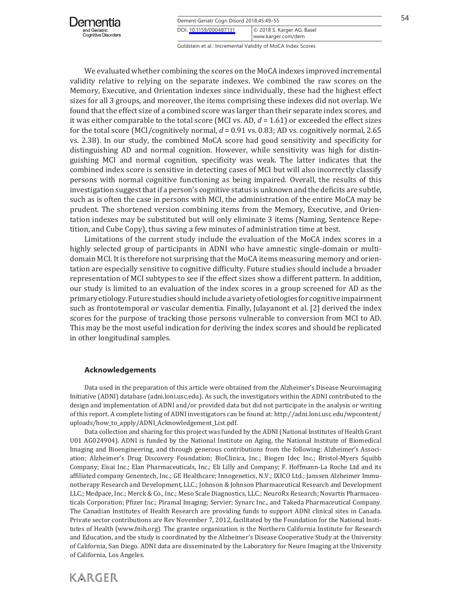

| Dement Geriatr Cogn Disord 2018;45:49-55 |                                                  |  |
|------------------------------------------|--------------------------------------------------|--|
| DOI: 10.1159/000487131                   | C 2018 S. Karger AG, Basel<br>www.karger.com/dem |  |

We evaluated whether combining the scores on the MoCA indexes improved incremental validity relative to relying on the separate indexes. We combined the raw scores on the Memory, Executive, and Orientation indexes since individually, these had the highest effect sizes for all 3 groups, and moreover, the items comprising these indexes did not overlap. We found that the effect size of a combined score was larger than their separate index scores, and it was either comparable to the total score (MCI vs. AD, *d* = 1.61) or exceeded the effect sizes for the total score (MCI/cognitively normal,  $d = 0.91$  vs. 0.83; AD vs. cognitively normal, 2.65 vs. 2.38). In our study, the combined MoCA score had good sensitivity and specificity for distinguishing AD and normal cognition. However, while sensitivity was high for distinguishing MCI and normal cognition, specificity was weak. The latter indicates that the combined index score is sensitive in detecting cases of MCI but will also incorrectly classify persons with normal cognitive functioning as being impaired. Overall, the results of this investigation suggest that if a person's cognitive status is unknown and the deficits are subtle, such as is often the case in persons with MCI, the administration of the entire MoCA may be prudent. The shortened version combining items from the Memory, Executive, and Orientation indexes may be substituted but will only eliminate 3 items (Naming, Sentence Repetition, and Cube Copy), thus saving a few minutes of administration time at best.

Limitations of the current study include the evaluation of the MoCA index scores in a highly selected group of participants in ADNI who have amnestic single-domain or multidomain MCI. It is therefore not surprising that the MoCA items measuring memory and orientation are especially sensitive to cognitive difficulty. Future studies should include a broader representation of MCI subtypes to see if the effect sizes show a different pattern. In addition, our study is limited to an evaluation of the index scores in a group screened for AD as the primary etiology. Future studies should include a variety of etiologies for cognitive impairment such as frontotemporal or vascular dementia. Finally, Julayanont et al. [2] derived the index scores for the purpose of tracking those persons vulnerable to conversion from MCI to AD. This may be the most useful indication for deriving the index scores and should be replicated in other longitudinal samples.

#### **Acknowledgements**

Data used in the preparation of this article were obtained from the Alzheimer's Disease Neuroimaging Initiative (ADNI) database (adni.loni.usc.edu). As such, the investigators within the ADNI contributed to the design and implementation of ADNI and/or provided data but did not participate in the analysis or writing of this report. A complete listing of ADNI investigators can be found at: http://adni.loni.usc.edu/wpcontent/ uploads/how\_to\_apply/ADNI\_Acknowledgement\_List.pdf.

Data collection and sharing for this project was funded by the ADNI (National Institutes of Health Grant U01 AG024904). ADNI is funded by the National Institute on Aging, the National Institute of Biomedical Imaging and Bioengineering, and through generous contributions from the following: Alzheimer's Association; Alzheimer's Drug Discovery Foundation; BioClinica, Inc.; Biogen Idec Inc.; Bristol-Myers Squibb Company; Eisai Inc.; Elan Pharmaceuticals, Inc.; Eli Lilly and Company; F. Hoffmann-La Roche Ltd and its affiliated company Genentech, Inc.; GE Healthcare; Innogenetics, N.V.; IXICO Ltd.; Janssen Alzheimer Immunotherapy Research and Development, LLC.; Johnson & Johnson Pharmaceutical Research and Development LLC.; Medpace, Inc.; Merck & Co., Inc.; Meso Scale Diagnostics, LLC.; NeuroRx Research; Novartis Pharmaceuticals Corporation; Pfizer Inc.; Piramal Imaging; Servier; Synarc Inc., and Takeda Pharmaceutical Company. The Canadian Institutes of Health Research are providing funds to support ADNI clinical sites in Canada. Private sector contributions are Rev November 7, 2012, facilitated by the Foundation for the National Institutes of Health (www.fnih.org). The grantee organization is the Northern California Institute for Research and Education, and the study is coordinated by the Alzheimer's Disease Cooperative Study at the University of California, San Diego. ADNI data are disseminated by the Laboratory for Neuro Imaging at the University of California, Los Angeles.